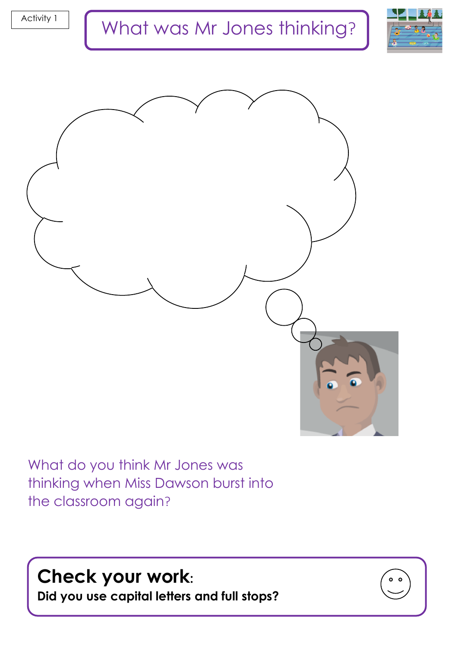



What do you think Mr Jones was thinking when Miss Dawson burst into the classroom again?

**Check your work:** 

**Did you use capital letters and full stops?**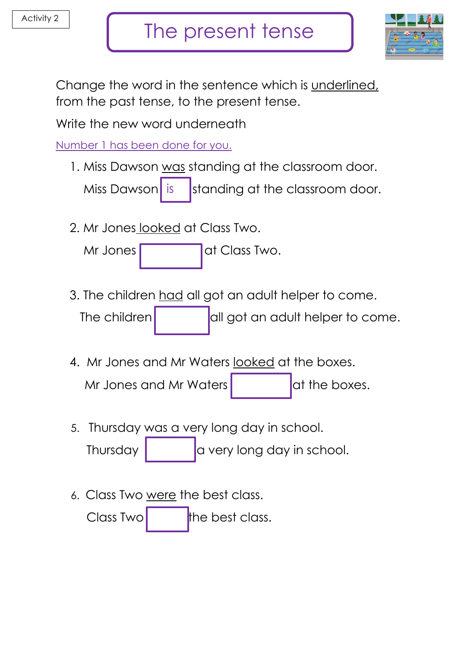

Change the word in the sentence which is underlined, from the past tense, to the present tense.

Write the new word underneath

Number 1 has been done for you.

1. Miss Dawson was standing at the classroom door.

standing at the classroom door. Miss Dawson is

2. Mr Jones looked at Class Two.

Mr Jones at Class Two.

3. The children had all got an adult helper to come.

The children  $\vert$  all got an adult helper to come.

4. Mr Jones and Mr Waters looked at the boxes.

Mr Jones and Mr Waters  $\vert$  at the boxes.

5. Thursday was a very long day in school.

Thursday  $\begin{bmatrix} a & b \end{bmatrix}$  a very long day in school.

6. Class Two were the best class.

 $\Box$  Class Two the best class.